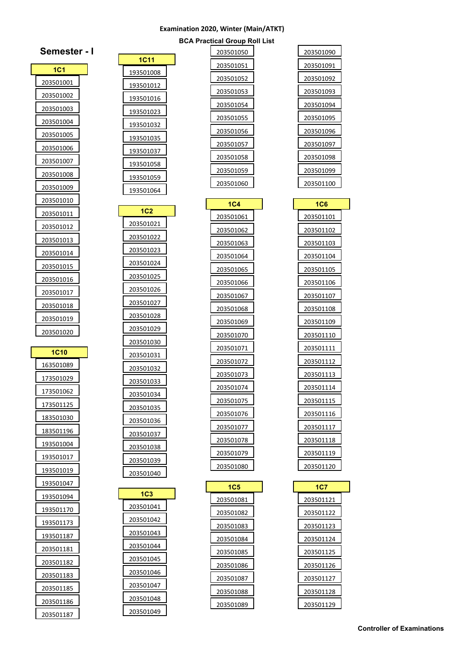## **Examination 2020, Winter (Main/ATKT)**

## **BCA Practical Group Roll List**

| 203501090 |
|-----------|
| 203501091 |
| 203501092 |
| 203501093 |
| 203501094 |
| 203501095 |
| 203501096 |
| 203501097 |
| 203501098 |
| 203501099 |
| 203501100 |

| <b>1C6</b> |  |
|------------|--|
| 203501101  |  |
| 203501102  |  |
| 203501103  |  |
| 203501104  |  |
| 203501105  |  |
| 203501106  |  |
| 203501107  |  |
| 203501108  |  |
| 203501109  |  |
| 203501110  |  |
| 203501111  |  |
| 203501112  |  |
| 203501113  |  |
| 203501114  |  |
| 203501115  |  |
| 203501116  |  |
| 203501117  |  |
| 203501118  |  |
| 203501119  |  |
| 203501120  |  |

| 1C7       |  |
|-----------|--|
| 203501121 |  |
| 203501122 |  |
| 203501123 |  |
| 203501124 |  |
| 203501125 |  |
| 203501126 |  |
| 203501127 |  |
| 203501128 |  |
| 203501129 |  |

| 203501051<br>203501052<br>203501053<br>203501054<br>203501055<br>203501056 |
|----------------------------------------------------------------------------|
|                                                                            |
|                                                                            |
|                                                                            |
|                                                                            |
|                                                                            |
|                                                                            |
| 203501057                                                                  |
| 203501058                                                                  |
| 203501059                                                                  |
| 203501060                                                                  |

| 1C <sub>4</sub> |  |
|-----------------|--|
| 203501061       |  |
| 203501062       |  |
| 203501063       |  |
| 203501064       |  |
| 203501065       |  |
| 203501066       |  |
| 203501067       |  |
| 203501068       |  |
| 203501069       |  |
| 203501070       |  |
| 203501071       |  |
| 203501072       |  |
| 203501073       |  |
| 203501074       |  |
| 203501075       |  |
| 203501076       |  |
| 203501077       |  |
| 203501078       |  |
| 203501079       |  |
| 203501080       |  |
|                 |  |

| 1C5       |  |
|-----------|--|
| 203501081 |  |
| 203501082 |  |
| 203501083 |  |
| 203501084 |  |
| 203501085 |  |
| 203501086 |  |
| 203501087 |  |
| 203501088 |  |
| 203501089 |  |

| 1C11      |  |
|-----------|--|
| 193501008 |  |
| 193501012 |  |
| 193501016 |  |
| 193501023 |  |
| 193501032 |  |
| 193501035 |  |
| 193501037 |  |
| 193501058 |  |
| 193501059 |  |
| 193501064 |  |

| 1C2              |  |
|------------------|--|
| 203501021        |  |
| 203501022        |  |
| 203501023        |  |
| 203501024        |  |
| <u>203501025</u> |  |
| 203501026        |  |
| 203501027        |  |
| 203501028        |  |
| 203501029        |  |
| 203501030        |  |
| 203501031        |  |
| 203501032        |  |
| 203501033        |  |
| 203501034        |  |
| 203501035        |  |
| 203501036        |  |
| 203501037        |  |
| 203501038        |  |
| 203501039        |  |
| 203501040        |  |

| 1C3       |  |
|-----------|--|
| 203501041 |  |
| 203501042 |  |
| 203501043 |  |
| 203501044 |  |
| 203501045 |  |
| 203501046 |  |
| 203501047 |  |
| 203501048 |  |
| 203501049 |  |

| Semester          |  |
|-------------------|--|
| 1C1               |  |
| 203501001         |  |
| 203501002         |  |
| <u> 203501003</u> |  |
| 203501004         |  |
| 203501005         |  |
| 203501006         |  |
| 203501007         |  |
| <u>203501008</u>  |  |
| 203501009         |  |
| 203501010         |  |
| 203501011         |  |
| 203501012         |  |
| <u> 203501013</u> |  |
| 203501014         |  |
| 203501015         |  |
| 203501016         |  |
| 203501017         |  |
| <u>203501018</u>  |  |
| 203501019         |  |
| 203501020         |  |